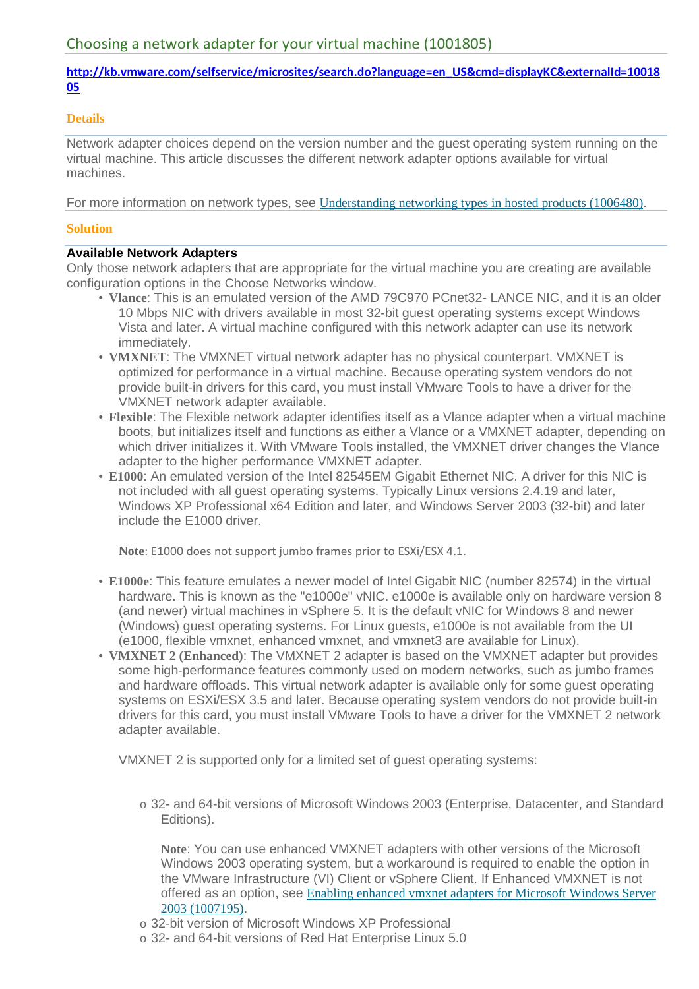## **http://kb.vmware.com/selfservice/microsites/search.do?language=en\_US&cmd=displayKC&externalId=10018 05**

#### **Details**

Network adapter choices depend on the version number and the guest operating system running on the virtual machine. This article discusses the different network adapter options available for virtual machines.

For more information on network types, see Understanding networking types in hosted products (1006480).

#### **Solution**

## **Available Network Adapters**

Only those network adapters that are appropriate for the virtual machine you are creating are available configuration options in the Choose Networks window.

- **Vlance**: This is an emulated version of the AMD 79C970 PCnet32- LANCE NIC, and it is an older 10 Mbps NIC with drivers available in most 32-bit guest operating systems except Windows Vista and later. A virtual machine configured with this network adapter can use its network immediately.
- **VMXNET**: The VMXNET virtual network adapter has no physical counterpart. VMXNET is optimized for performance in a virtual machine. Because operating system vendors do not provide built-in drivers for this card, you must install VMware Tools to have a driver for the VMXNET network adapter available.
- **Flexible**: The Flexible network adapter identifies itself as a Vlance adapter when a virtual machine boots, but initializes itself and functions as either a Vlance or a VMXNET adapter, depending on which driver initializes it. With VMware Tools installed, the VMXNET driver changes the Vlance adapter to the higher performance VMXNET adapter.
- **E1000**: An emulated version of the Intel 82545EM Gigabit Ethernet NIC. A driver for this NIC is not included with all guest operating systems. Typically Linux versions 2.4.19 and later, Windows XP Professional x64 Edition and later, and Windows Server 2003 (32-bit) and later include the E1000 driver.

**Note**: E1000 does not support jumbo frames prior to ESXi/ESX 4.1.

- **E1000e**: This feature emulates a newer model of Intel Gigabit NIC (number 82574) in the virtual hardware. This is known as the "e1000e" vNIC. e1000e is available only on hardware version 8 (and newer) virtual machines in vSphere 5. It is the default vNIC for Windows 8 and newer (Windows) guest operating systems. For Linux guests, e1000e is not available from the UI (e1000, flexible vmxnet, enhanced vmxnet, and vmxnet3 are available for Linux).
- **VMXNET 2 (Enhanced)**: The VMXNET 2 adapter is based on the VMXNET adapter but provides some high-performance features commonly used on modern networks, such as jumbo frames and hardware offloads. This virtual network adapter is available only for some guest operating systems on ESXi/ESX 3.5 and later. Because operating system vendors do not provide built-in drivers for this card, you must install VMware Tools to have a driver for the VMXNET 2 network adapter available.

VMXNET 2 is supported only for a limited set of guest operating systems:

o 32- and 64-bit versions of Microsoft Windows 2003 (Enterprise, Datacenter, and Standard Editions).

**Note**: You can use enhanced VMXNET adapters with other versions of the Microsoft Windows 2003 operating system, but a workaround is required to enable the option in the VMware Infrastructure (VI) Client or vSphere Client. If Enhanced VMXNET is not offered as an option, see Enabling enhanced vmxnet adapters for Microsoft Windows Server 2003 (1007195).

- o 32-bit version of Microsoft Windows XP Professional
- o 32- and 64-bit versions of Red Hat Enterprise Linux 5.0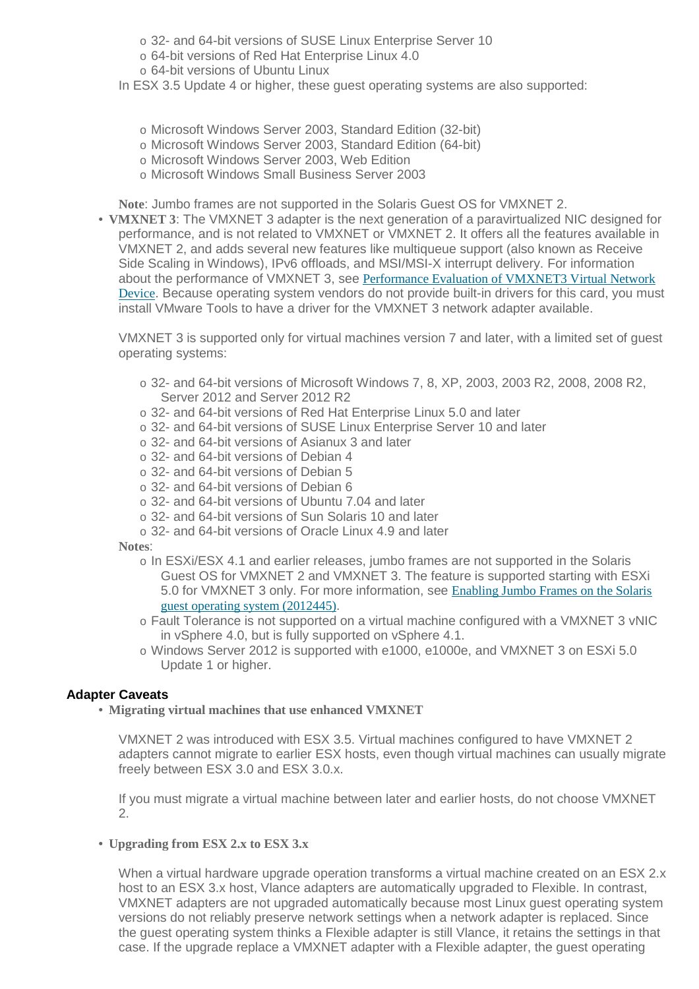o 32- and 64-bit versions of SUSE Linux Enterprise Server 10

o 64-bit versions of Red Hat Enterprise Linux 4.0

o 64-bit versions of Ubuntu Linux

In ESX 3.5 Update 4 or higher, these guest operating systems are also supported:

- o Microsoft Windows Server 2003, Standard Edition (32-bit)
- o Microsoft Windows Server 2003, Standard Edition (64-bit)
- o Microsoft Windows Server 2003, Web Edition
- o Microsoft Windows Small Business Server 2003

**Note**: Jumbo frames are not supported in the Solaris Guest OS for VMXNET 2.

• **VMXNET 3**: The VMXNET 3 adapter is the next generation of a paravirtualized NIC designed for performance, and is not related to VMXNET or VMXNET 2. It offers all the features available in VMXNET 2, and adds several new features like multiqueue support (also known as Receive Side Scaling in Windows), IPv6 offloads, and MSI/MSI-X interrupt delivery. For information about the performance of VMXNET 3, see Performance Evaluation of VMXNET3 Virtual Network Device. Because operating system vendors do not provide built-in drivers for this card, you must install VMware Tools to have a driver for the VMXNET 3 network adapter available.

VMXNET 3 is supported only for virtual machines version 7 and later, with a limited set of guest operating systems:

- o 32- and 64-bit versions of Microsoft Windows 7, 8, XP, 2003, 2003 R2, 2008, 2008 R2, Server 2012 and Server 2012 R2
- o 32- and 64-bit versions of Red Hat Enterprise Linux 5.0 and later
- o 32- and 64-bit versions of SUSE Linux Enterprise Server 10 and later
- o 32- and 64-bit versions of Asianux 3 and later
- o 32- and 64-bit versions of Debian 4
- o 32- and 64-bit versions of Debian 5
- o 32- and 64-bit versions of Debian 6
- o 32- and 64-bit versions of Ubuntu 7.04 and later
- o 32- and 64-bit versions of Sun Solaris 10 and later
- o 32- and 64-bit versions of Oracle Linux 4.9 and later

**Notes**:

- o In ESXi/ESX 4.1 and earlier releases, jumbo frames are not supported in the Solaris Guest OS for VMXNET 2 and VMXNET 3. The feature is supported starting with ESXi 5.0 for VMXNET 3 only. For more information, see Enabling Jumbo Frames on the Solaris guest operating system (2012445).
- o Fault Tolerance is not supported on a virtual machine configured with a VMXNET 3 vNIC in vSphere 4.0, but is fully supported on vSphere 4.1.
- o Windows Server 2012 is supported with e1000, e1000e, and VMXNET 3 on ESXi 5.0 Update 1 or higher.

# **Adapter Caveats**

• **Migrating virtual machines that use enhanced VMXNET**

VMXNET 2 was introduced with ESX 3.5. Virtual machines configured to have VMXNET 2 adapters cannot migrate to earlier ESX hosts, even though virtual machines can usually migrate freely between ESX 3.0 and ESX 3.0.x.

If you must migrate a virtual machine between later and earlier hosts, do not choose VMXNET 2.

• **Upgrading from ESX 2.x to ESX 3.x**

When a virtual hardware upgrade operation transforms a virtual machine created on an ESX 2.x host to an ESX 3.x host, Vlance adapters are automatically upgraded to Flexible. In contrast, VMXNET adapters are not upgraded automatically because most Linux guest operating system versions do not reliably preserve network settings when a network adapter is replaced. Since the guest operating system thinks a Flexible adapter is still Vlance, it retains the settings in that case. If the upgrade replace a VMXNET adapter with a Flexible adapter, the guest operating